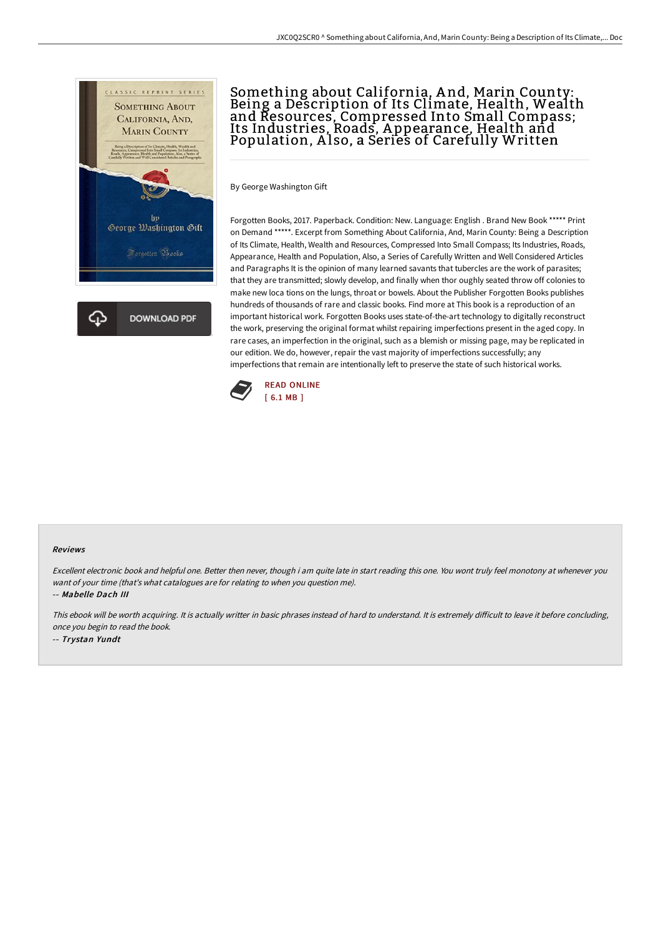

## Something about California, A nd, Marin County: Being a Description of Its Climate, Health, Wealth and Resources, Compressed Into Small Compass; Its Industries, Roads, A ppearance, Health and Population, Also, a Series of Carefully Written

By George Washington Gift

Forgotten Books, 2017. Paperback. Condition: New. Language: English . Brand New Book \*\*\*\*\* Print on Demand \*\*\*\*\*. Excerpt from Something About California, And, Marin County: Being a Description of Its Climate, Health, Wealth and Resources, Compressed Into Small Compass; Its Industries, Roads, Appearance, Health and Population, Also, a Series of Carefully Written and Well Considered Articles and Paragraphs It is the opinion of many learned savants that tubercles are the work of parasites; that they are transmitted; slowly develop, and finally when thor oughly seated throw off colonies to make new loca tions on the lungs, throat or bowels. About the Publisher Forgotten Books publishes hundreds of thousands of rare and classic books. Find more at This book is a reproduction of an important historical work. Forgotten Books uses state-of-the-art technology to digitally reconstruct the work, preserving the original format whilst repairing imperfections present in the aged copy. In rare cases, an imperfection in the original, such as a blemish or missing page, may be replicated in our edition. We do, however, repair the vast majority of imperfections successfully; any imperfections that remain are intentionally left to preserve the state of such historical works.



## Reviews

Excellent electronic book and helpful one. Better then never, though i am quite late in start reading this one. You wont truly feel monotony at whenever you want of your time (that's what catalogues are for relating to when you question me). -- Mabelle Dach III

This ebook will be worth acquiring. It is actually writter in basic phrases instead of hard to understand. It is extremely difficult to leave it before concluding, once you begin to read the book.

-- Trystan Yundt